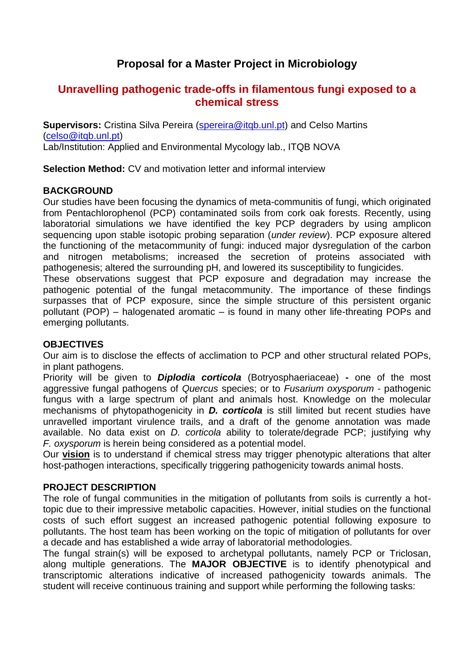# **Proposal for a Master Project in Microbiology**

## **Unravelling pathogenic trade-offs in filamentous fungi exposed to a chemical stress**

**Supervisors:** Cristina Silva Pereira [\(spereira@itqb.unl.pt\)](mailto:spereira@itqb.unl.pt) and Celso Martins [\(celso@itqb.unl.pt\)](mailto:celso@itqb.unl.pt) Lab/Institution: Applied and Environmental Mycology lab., ITQB NOVA

**Selection Method:** CV and motivation letter and informal interview

## **BACKGROUND**

Our studies have been focusing the dynamics of meta-communitis of fungi, which originated from Pentachlorophenol (PCP) contaminated soils from cork oak forests. Recently, using laboratorial simulations we have identified the key PCP degraders by using amplicon sequencing upon stable isotopic probing separation (*under review*). PCP exposure altered the functioning of the metacommunity of fungi: induced major dysregulation of the carbon and nitrogen metabolisms; increased the secretion of proteins associated with pathogenesis; altered the surrounding pH, and lowered its susceptibility to fungicides.

These observations suggest that PCP exposure and degradation may increase the pathogenic potential of the fungal metacommunity. The importance of these findings surpasses that of PCP exposure, since the simple structure of this persistent organic pollutant (POP) – halogenated aromatic – is found in many other life-threating POPs and emerging pollutants.

## **OBJECTIVES**

Our aim is to disclose the effects of acclimation to PCP and other structural related POPs, in plant pathogens.

Priority will be given to *Diplodia corticola* (Botryosphaeriaceae) **-** one of the most aggressive fungal pathogens of *Quercus* species; or to *Fusarium oxysporum -* pathogenic fungus with a large spectrum of plant and animals host. Knowledge on the molecular mechanisms of phytopathogenicity in *D. corticola* is still limited but recent studies have unravelled important virulence trails, and a draft of the genome annotation was made available. No data exist on *D. corticola* ability to tolerate/degrade PCP; justifying why *F. oxysporum* is herein being considered as a potential model.

Our **vision** is to understand if chemical stress may trigger phenotypic alterations that alter host-pathogen interactions, specifically triggering pathogenicity towards animal hosts.

### **PROJECT DESCRIPTION**

The role of fungal communities in the mitigation of pollutants from soils is currently a hottopic due to their impressive metabolic capacities. However, initial studies on the functional costs of such effort suggest an increased pathogenic potential following exposure to pollutants. The host team has been working on the topic of mitigation of pollutants for over a decade and has established a wide array of laboratorial methodologies.

The fungal strain(s) will be exposed to archetypal pollutants, namely PCP or Triclosan, along multiple generations. The **MAJOR OBJECTIVE** is to identify phenotypical and transcriptomic alterations indicative of increased pathogenicity towards animals. The student will receive continuous training and support while performing the following tasks: